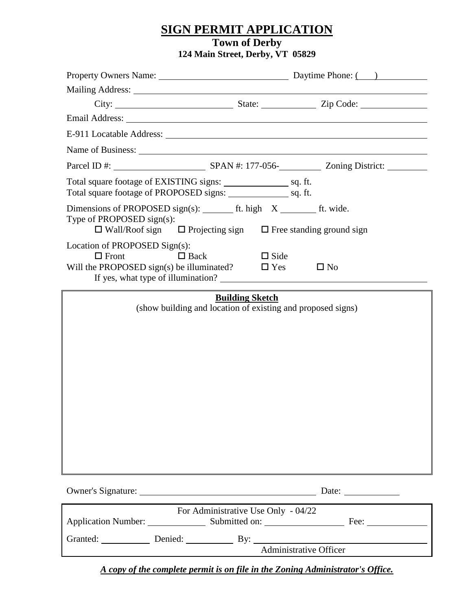### **SIGN PERMIT APPLICATION**

### **Town of Derby 124 Main Street, Derby, VT 05829**

Property Owners Name: Daytime Phone: ( ) Mailing Address: City: State: State: Zip Code: Email Address: E-911 Locatable Address: Name of Business: Parcel ID #: SPAN #: 177-056- Zoning District: Total square footage of EXISTING signs: sq. ft. Total square footage of PROPOSED signs: \_\_\_\_\_\_\_\_\_\_\_\_\_\_\_\_\_\_\_\_\_ sq. ft. Dimensions of PROPOSED sign(s): ft. high  $X$  ft. wide. Type of PROPOSED sign(s):  $\Box$  Wall/Roof sign  $\Box$  Projecting sign  $\Box$  Free standing ground sign Location of PROPOSED Sign(s):  $\Box$  Front  $\Box$  Back  $\Box$  Side Will the PROPOSED sign(s) be illuminated?  $\Box$  Yes  $\Box$  No If yes, what type of illumination? **Building Sketch** (show building and location of existing and proposed signs) Owner's Signature: Date: For Administrative Use Only - 04/22 Application Number: Submitted on: Fee: Fee: Granted: Denied: Denied: By: Administrative Officer

*A copy of the complete permit is on file in the Zoning Administrator's Office.*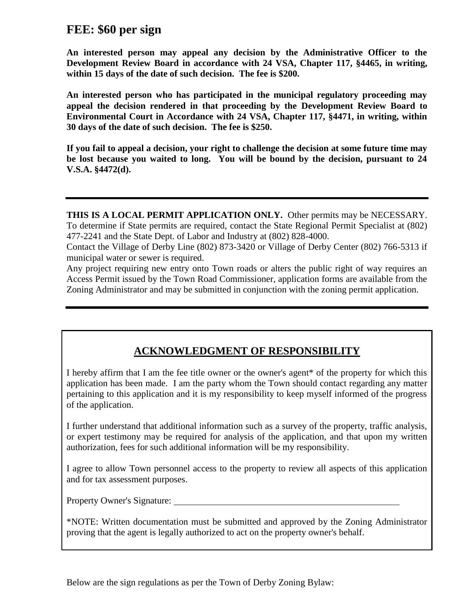# **FEE: \$60 per sign**

**An interested person may appeal any decision by the Administrative Officer to the Development Review Board in accordance with 24 VSA, Chapter 117, §4465, in writing, within 15 days of the date of such decision. The fee is \$200.**

**An interested person who has participated in the municipal regulatory proceeding may appeal the decision rendered in that proceeding by the Development Review Board to Environmental Court in Accordance with 24 VSA, Chapter 117, §4471, in writing, within 30 days of the date of such decision. The fee is \$250.**

**If you fail to appeal a decision, your right to challenge the decision at some future time may be lost because you waited to long. You will be bound by the decision, pursuant to 24 V.S.A. §4472(d).**

**THIS IS A LOCAL PERMIT APPLICATION ONLY.** Other permits may be NECESSARY. To determine if State permits are required, contact the State Regional Permit Specialist at (802) 477-2241 and the State Dept. of Labor and Industry at (802) 828-4000.

Contact the Village of Derby Line (802) 873-3420 or Village of Derby Center (802) 766-5313 if municipal water or sewer is required.

Any project requiring new entry onto Town roads or alters the public right of way requires an Access Permit issued by the Town Road Commissioner, application forms are available from the Zoning Administrator and may be submitted in conjunction with the zoning permit application.

## **ACKNOWLEDGMENT OF RESPONSIBILITY**

I hereby affirm that I am the fee title owner or the owner's agent\* of the property for which this application has been made. I am the party whom the Town should contact regarding any matter pertaining to this application and it is my responsibility to keep myself informed of the progress of the application.

I further understand that additional information such as a survey of the property, traffic analysis, or expert testimony may be required for analysis of the application, and that upon my written authorization, fees for such additional information will be my responsibility.

I agree to allow Town personnel access to the property to review all aspects of this application and for tax assessment purposes.

Property Owner's Signature:

\*NOTE: Written documentation must be submitted and approved by the Zoning Administrator proving that the agent is legally authorized to act on the property owner's behalf.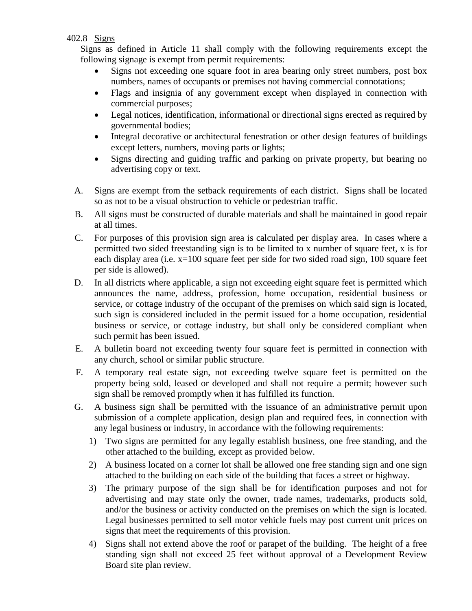### 402.8 Signs

Signs as defined in Article 11 shall comply with the following requirements except the following signage is exempt from permit requirements:

- Signs not exceeding one square foot in area bearing only street numbers, post box numbers, names of occupants or premises not having commercial connotations;
- Flags and insignia of any government except when displayed in connection with commercial purposes;
- Legal notices, identification, informational or directional signs erected as required by governmental bodies;
- Integral decorative or architectural fenestration or other design features of buildings except letters, numbers, moving parts or lights;
- Signs directing and guiding traffic and parking on private property, but bearing no advertising copy or text.
- A. Signs are exempt from the setback requirements of each district. Signs shall be located so as not to be a visual obstruction to vehicle or pedestrian traffic.
- B. All signs must be constructed of durable materials and shall be maintained in good repair at all times.
- C. For purposes of this provision sign area is calculated per display area. In cases where a permitted two sided freestanding sign is to be limited to x number of square feet, x is for each display area (i.e. x=100 square feet per side for two sided road sign, 100 square feet per side is allowed).
- D. In all districts where applicable, a sign not exceeding eight square feet is permitted which announces the name, address, profession, home occupation, residential business or service, or cottage industry of the occupant of the premises on which said sign is located, such sign is considered included in the permit issued for a home occupation, residential business or service, or cottage industry, but shall only be considered compliant when such permit has been issued.
- E. A bulletin board not exceeding twenty four square feet is permitted in connection with any church, school or similar public structure.
- F. A temporary real estate sign, not exceeding twelve square feet is permitted on the property being sold, leased or developed and shall not require a permit; however such sign shall be removed promptly when it has fulfilled its function.
- G. A business sign shall be permitted with the issuance of an administrative permit upon submission of a complete application, design plan and required fees, in connection with any legal business or industry, in accordance with the following requirements:
	- 1) Two signs are permitted for any legally establish business, one free standing, and the other attached to the building, except as provided below.
	- 2) A business located on a corner lot shall be allowed one free standing sign and one sign attached to the building on each side of the building that faces a street or highway.
	- 3) The primary purpose of the sign shall be for identification purposes and not for advertising and may state only the owner, trade names, trademarks, products sold, and/or the business or activity conducted on the premises on which the sign is located. Legal businesses permitted to sell motor vehicle fuels may post current unit prices on signs that meet the requirements of this provision.
	- 4) Signs shall not extend above the roof or parapet of the building. The height of a free standing sign shall not exceed 25 feet without approval of a Development Review Board site plan review.